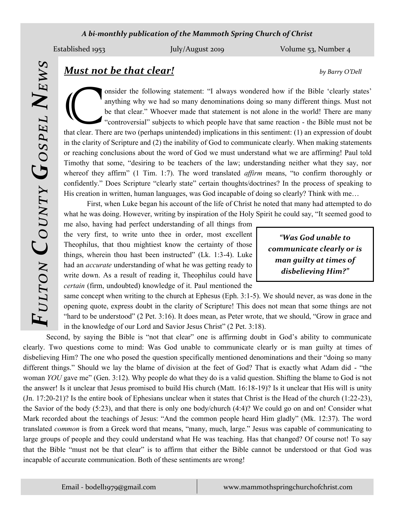#### *A bi-monthly publication of the Mammoth Spring Church of Christ*

Established 1953 *July/August 2019* Volume 53, Number 4

# *Fulton County Gospel News*

## *Must not be that clear! by Barry O'Dell*

that clear. The onsider the following statement: "I always wondered how if the Bible 'clearly states' anything why we had so many denominations doing so many different things. Must not be that clear." Whoever made that statement is not alone in the world! There are many "controversial" subjects to which people have that same reaction - the Bible must not be that clear. There are two (perhaps unintended) implications in this sentiment: (1) an expression of doubt in the clarity of Scripture and (2) the inability of God to communicate clearly. When making statements or reaching conclusions about the word of God we must understand what we are affirming! Paul told Timothy that some, "desiring to be teachers of the law; understanding neither what they say, nor whereof they affirm" (1 Tim. 1:7). The word translated *affirm* means, "to confirm thoroughly or confidently." Does Scripture "clearly state" certain thoughts/doctrines? In the process of speaking to His creation in written, human languages, was God incapable of doing so clearly? Think with me...

First, when Luke began his account of the life of Christ he noted that many had attempted to do what he was doing. However, writing by inspiration of the Holy Spirit he could say, "It seemed good to

me also, having had perfect understanding of all things from the very first, to write unto thee in order, most excellent Theophilus, that thou mightiest know the certainty of those things, wherein thou hast been instructed" (Lk. 1:3-4). Luke had an *accurate* understanding of what he was getting ready to write down. As a result of reading it, Theophilus could have *certain* (firm, undoubted) knowledge of it. Paul mentioned the

*"Was God unable to communicate clearly or is man guilty at times of disbelieving Him?"*

same concept when writing to the church at Ephesus (Eph. 3:1-5). We should never, as was done in the opening quote, express doubt in the clarity of Scripture! This does not mean that some things are not "hard to be understood" (2 Pet. 3:16). It does mean, as Peter wrote, that we should, "Grow in grace and in the knowledge of our Lord and Savior Jesus Christ" (2 Pet. 3:18).

Second, by saying the Bible is "not that clear" one is affirming doubt in God's ability to communicate clearly. Two questions come to mind: Was God unable to communicate clearly or is man guilty at times of disbelieving Him? The one who posed the question specifically mentioned denominations and their "doing so many different things." Should we lay the blame of division at the feet of God? That is exactly what Adam did - "the woman *YOU* gave me" (Gen. 3:12). Why people do what they do is a valid question. Shifting the blame to God is not the answer! Is it unclear that Jesus promised to build His church (Matt. 16:18-19)? Is it unclear that His will is unity (Jn. 17:20-21)? Is the entire book of Ephesians unclear when it states that Christ is the Head of the church (1:22-23), the Savior of the body (5:23), and that there is only one body/church (4:4)? We could go on and on! Consider what Mark recorded about the teachings of Jesus: "And the common people heard Him gladly" (Mk. 12:37). The word translated *common* is from a Greek word that means, "many, much, large." Jesus was capable of communicating to large groups of people and they could understand what He was teaching. Has that changed? Of course not! To say that the Bible "must not be that clear" is to affirm that either the Bible cannot be understood or that God was incapable of accurate communication. Both of these sentiments are wrong!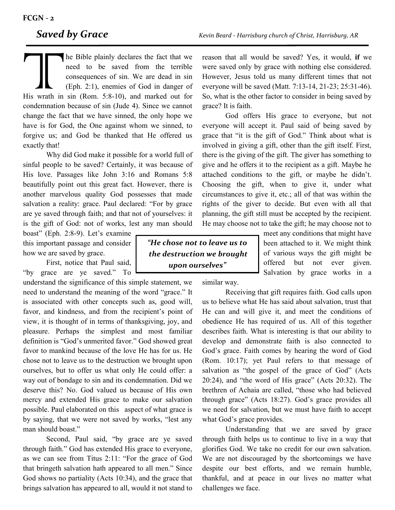His wrath in condemnation he Bible plainly declares the fact that we need to be saved from the terrible consequences of sin. We are dead in sin (Eph. 2:1), enemies of God in danger of His wrath in sin (Rom. 5:8-10), and marked out for condemnation because of sin (Jude 4). Since we cannot change the fact that we have sinned, the only hope we have is for God, the One against whom we sinned, to forgive us; and God be thanked that He offered us exactly that!

Why did God make it possible for a world full of sinful people to be saved? Certainly, it was because of His love. Passages like John 3:16 and Romans 5:8 beautifully point out this great fact. However, there is another marvelous quality God possesses that made salvation a reality: grace. Paul declared: "For by grace are ye saved through faith; and that not of yourselves: it is the gift of God: not of works, lest any man should

boast" (Eph. 2:8-9). Let's examine this important passage and consider how we are saved by grace.

First, notice that Paul said, "by grace are ye saved." To

understand the significance of this simple statement, we need to understand the meaning of the word "grace." It is associated with other concepts such as, good will, favor, and kindness, and from the recipient's point of view, it is thought of in terms of thanksgiving, joy, and pleasure. Perhaps the simplest and most familiar definition is "God's unmerited favor." God showed great favor to mankind because of the love He has for us. He chose not to leave us to the destruction we brought upon ourselves, but to offer us what only He could offer: a way out of bondage to sin and its condemnation. Did we deserve this? No. God valued us because of His own mercy and extended His grace to make our salvation possible. Paul elaborated on this aspect of what grace is by saying, that we were not saved by works, "lest any man should boast."

Second, Paul said, "by grace are ye saved through faith." God has extended His grace to everyone, as we can see from Titus 2:11: "For the grace of God that bringeth salvation hath appeared to all men." Since God shows no partiality (Acts 10:34), and the grace that brings salvation has appeared to all, would it not stand to reason that all would be saved? Yes, it would, **if** we were saved only by grace with nothing else considered. However, Jesus told us many different times that not everyone will be saved (Matt. 7:13-14, 21-23; 25:31-46). So, what is the other factor to consider in being saved by

God offers His grace to everyone, but not everyone will accept it. Paul said of being saved by grace that "it is the gift of God." Think about what is involved in giving a gift, other than the gift itself. First, there is the giving of the gift. The giver has something to give and he offers it to the recipient as a gift. Maybe he attached conditions to the gift, or maybe he didn't. Choosing the gift, when to give it, under what circumstances to give it, etc.; all of that was within the rights of the giver to decide. But even with all that planning, the gift still must be accepted by the recipient. He may choose not to take the gift; he may choose not to

> meet any conditions that might have been attached to it. We might think of various ways the gift might be offered but not ever given. Salvation by grace works in a

similar way.

grace? It is faith.

Receiving that gift requires faith. God calls upon us to believe what He has said about salvation, trust that He can and will give it, and meet the conditions of obedience He has required of us. All of this together describes faith. What is interesting is that our ability to develop and demonstrate faith is also connected to God's grace. Faith comes by hearing the word of God (Rom. 10:17); yet Paul refers to that message of salvation as "the gospel of the grace of God" (Acts 20:24), and "the word of His grace" (Acts 20:32). The brethren of Achaia are called, "those who had believed through grace" (Acts 18:27). God's grace provides all we need for salvation, but we must have faith to accept what God's grace provides.

Understanding that we are saved by grace through faith helps us to continue to live in a way that glorifies God. We take no credit for our own salvation. We are not discouraged by the shortcomings we have despite our best efforts, and we remain humble, thankful, and at peace in our lives no matter what challenges we face.

*"He chose not to leave us to the destruction we brought upon ourselves"*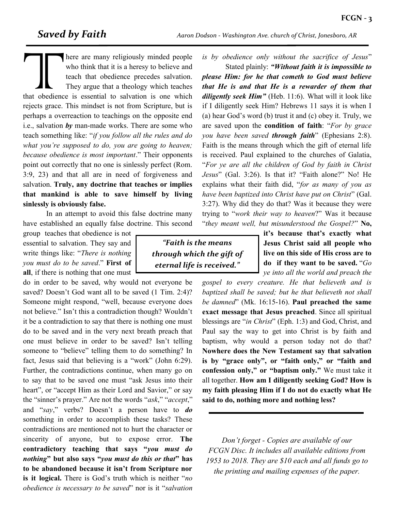*Saved by Faith Aaron Dodson - Washington Ave. church of Christ, Jonesboro, AR*

There are many religiously minded people<br>who think that it is a heresy to believe and<br>teach that obedience precedes salvation.<br>They argue that a theology which teaches<br>that obedience is essential to salvation is one which<br> here are many religiously minded people who think that it is a heresy to believe and teach that obedience precedes salvation. They argue that a theology which teaches that obedience is essential to salvation is one which perhaps a overreaction to teachings on the opposite end i.e., salvation *by* man-made works. There are some who teach something like: "*if you follow all the rules and do what you're supposed to do, you are going to heaven; because obedience is most important*." Their opponents point out correctly that no one is sinlessly perfect (Rom. 3:9, 23) and that all are in need of forgiveness and salvation. **Truly, any doctrine that teaches or implies that mankind is able to save himself by living sinlessly is obviously false.**

In an attempt to avoid this false doctrine many have established an equally false doctrine. This second

group teaches that obedience is not essential to salvation. They say and write things like: "*There is nothing you must do to be saved*." **First of all**, if there is nothing that one must

do in order to be saved, why would not everyone be saved? Doesn't God want all to be saved (1 Tim. 2:4)? Someone might respond, "well, because everyone does not believe." Isn't this a contradiction though? Wouldn't it be a contradiction to say that there is nothing one must do to be saved and in the very next breath preach that one must believe in order to be saved? Isn't telling someone to "believe" telling them to do something? In fact, Jesus said that believing is a "work" (John 6:29). Further, the contradictions continue, when many go on to say that to be saved one must "ask Jesus into their heart", or "accept Him as their Lord and Savior," or say the "sinner's prayer." Are not the words "*ask*," "*accept*," and "*say*," verbs? Doesn't a person have to *do* something in order to accomplish these tasks? These contradictions are mentioned not to hurt the character or sincerity of anyone, but to expose error. **The contradictory teaching that says "***you must do nothing***" but also says "***you must do this or that***" has to be abandoned because it isn't from Scripture nor is it logical.** There is God's truth which is neither "*no obedience is necessary to be saved*" nor is it "*salvation* 

*"Faith is the means through which the gift of eternal life is received."*

*is by obedience only without the sacrifice of Jesus*"

Stated plainly: *"Without faith it is impossible to please Him: for he that cometh to God must believe that He is and that He is a rewarder of them that diligently seek Him"* (Heb. 11:6). What will it look like if I diligently seek Him? Hebrews 11 says it is when I (a) hear God's word (b) trust it and (c) obey it. Truly, we are saved upon the **condition of faith**: "*For by grace you have been saved through faith*" (Ephesians 2:8). Faith is the means through which the gift of eternal life is received. Paul explained to the churches of Galatia, "*For ye are all the children of God by faith in Christ Jesus*" (Gal. 3:26). Is that it? "Faith alone?" No! He explains what their faith did, "*for as many of you as have been baptized into Christ have put on Christ*" (Gal. 3:27). Why did they do that? Was it because they were trying to "*work their way to heaven*?" Was it because "*they meant well, but misunderstood the Gospel?*" **No,** 

> **it's because that's exactly what Jesus Christ said all people who live on this side of His cross are to do if they want to be saved.** "*Go ye into all the world and preach the*

*gospel to every creature. He that believeth and is baptized shall be saved; but he that believeth not shall be damned*" (Mk. 16:15-16). **Paul preached the same exact message that Jesus preached**. Since all spiritual blessings are "*in Christ*" (Eph. 1:3) and God, Christ, and Paul say the way to get into Christ is by faith and baptism, why would a person today not do that? **Nowhere does the New Testament say that salvation is by "grace only", or "faith only," or "faith and confession only," or "baptism only."** We must take it all together. **How am I diligently seeking God? How is my faith pleasing Him if I do not do exactly what He said to do, nothing more and nothing less?** 

*Don't forget - Copies are available of our FCGN Disc. It includes all available editions from 1953 to 2018. They are \$10 each and all funds go to the printing and mailing expenses of the paper.*